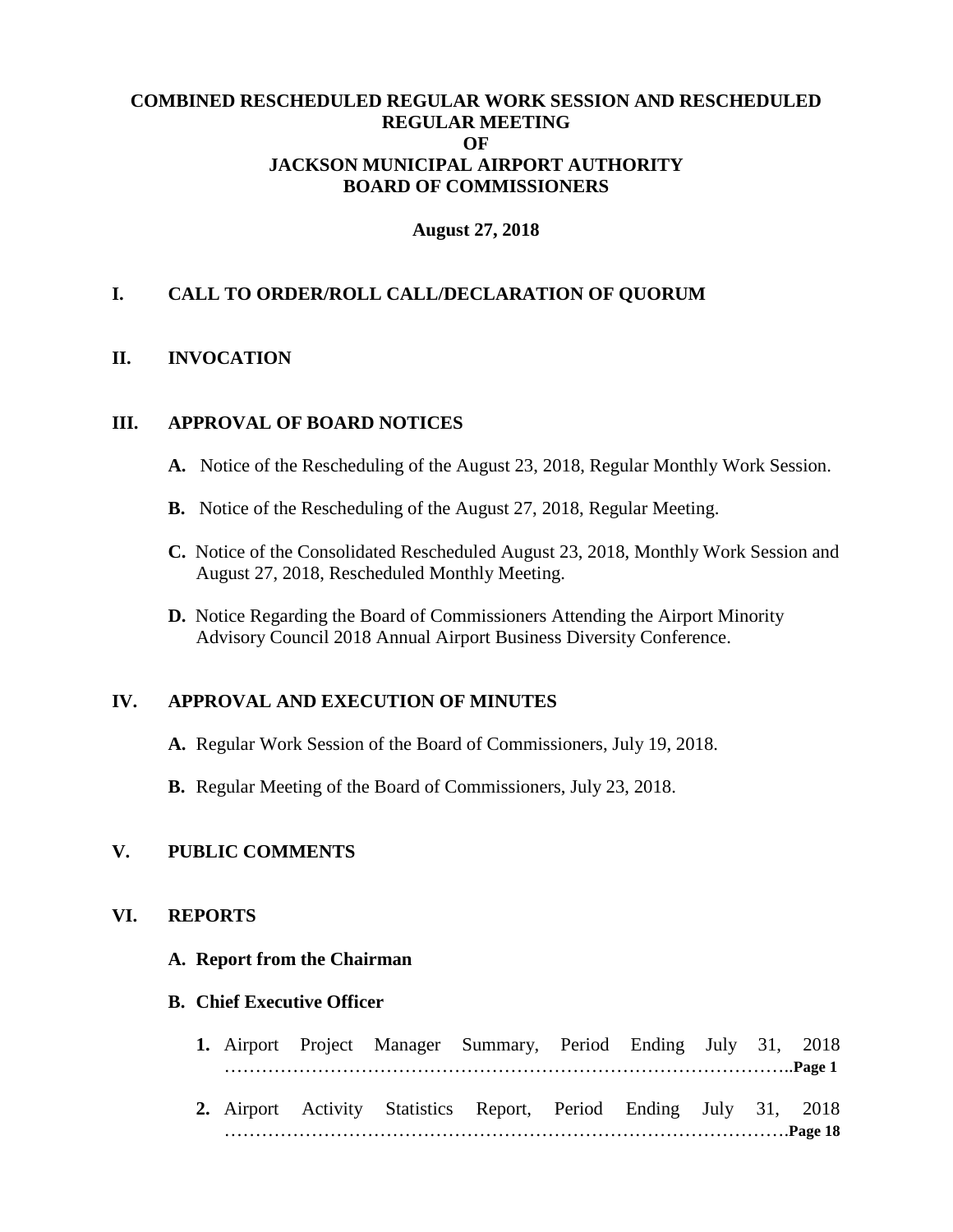## **COMBINED RESCHEDULED REGULAR WORK SESSION AND RESCHEDULED REGULAR MEETING OF JACKSON MUNICIPAL AIRPORT AUTHORITY BOARD OF COMMISSIONERS**

#### **August 27, 2018**

## **I. CALL TO ORDER/ROLL CALL/DECLARATION OF QUORUM**

#### **II. INVOCATION**

## **III. APPROVAL OF BOARD NOTICES**

- **A.** Notice of the Rescheduling of the August 23, 2018, Regular Monthly Work Session.
- **B.** Notice of the Rescheduling of the August 27, 2018, Regular Meeting.
- **C.** Notice of the Consolidated Rescheduled August 23, 2018, Monthly Work Session and August 27, 2018, Rescheduled Monthly Meeting.
- **D.** Notice Regarding the Board of Commissioners Attending the Airport Minority Advisory Council 2018 Annual Airport Business Diversity Conference.

## **IV. APPROVAL AND EXECUTION OF MINUTES**

- **A.** Regular Work Session of the Board of Commissioners, July 19, 2018.
- **B.** Regular Meeting of the Board of Commissioners, July 23, 2018.

# **V. PUBLIC COMMENTS**

# **VI. REPORTS**

#### **A. Report from the Chairman**

#### **B. Chief Executive Officer**

- **1.** Airport Project Manager Summary, Period Ending July 31, 2018 ………………………………………………………………………………..**Page 1**
- **2.** Airport Activity Statistics Report, Period Ending July 31, 2018 ……………………………………………………………………………….**Page 18**